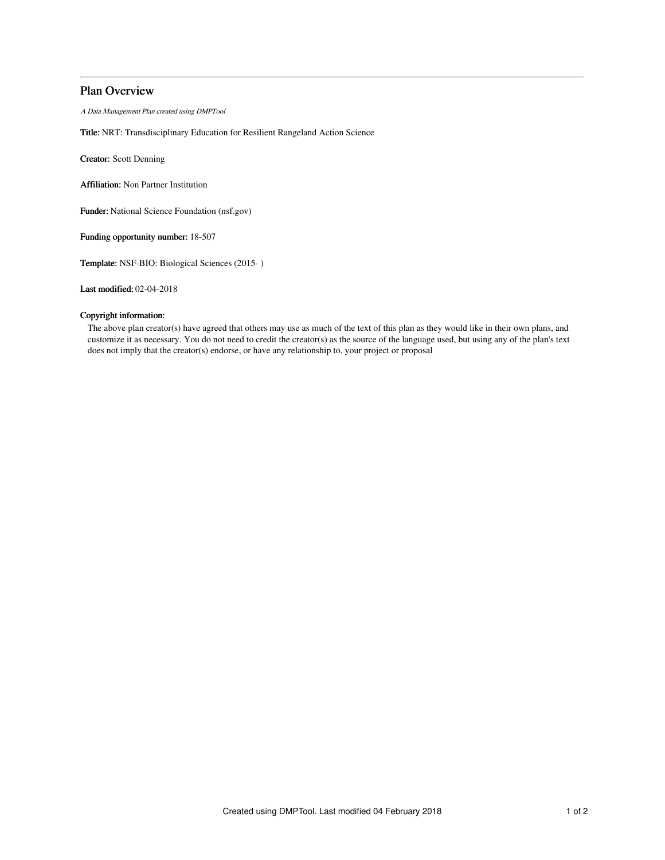# Plan Overview

A Data Management Plan created using DMPTool

Title: NRT: Transdisciplinary Education for Resilient Rangeland Action Science

Creator: Scott Denning

Affiliation: Non Partner Institution

Funder: National Science Foundation (nsf.gov)

Funding opportunity number: 18-507

Template: NSF-BIO: Biological Sciences (2015- )

Last modified: 02-04-2018

# Copyright information:

The above plan creator(s) have agreed that others may use as much of the text of this plan as they would like in their own plans, and customize it as necessary. You do not need to credit the creator(s) as the source of the language used, but using any of the plan's text does not imply that the creator(s) endorse, or have any relationship to, your project or proposal